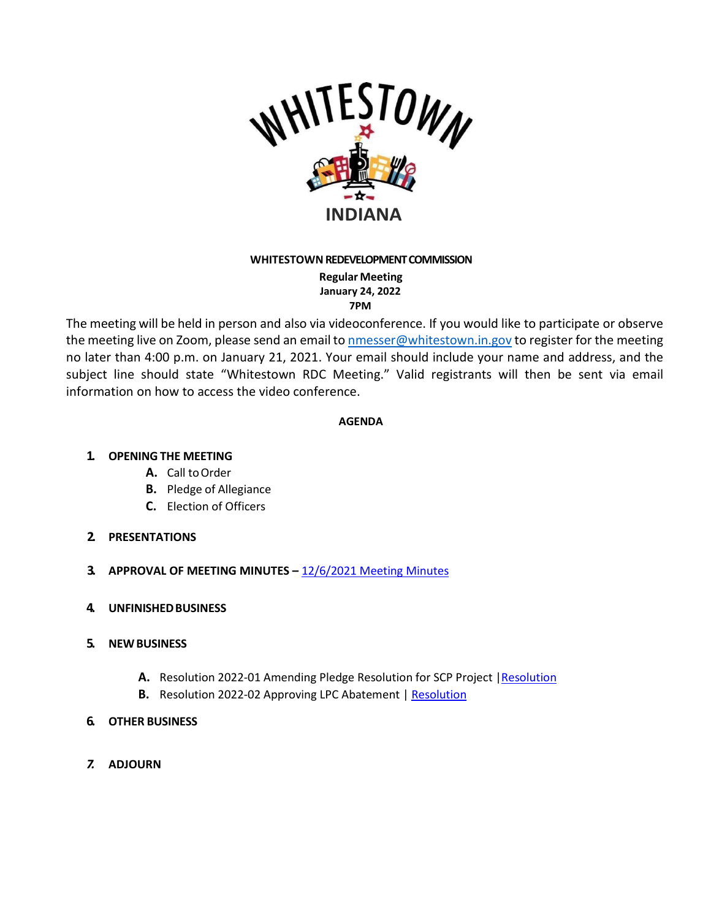

## **WHITESTOWN REDEVELOPMENT COMMISSION**

**Regular Meeting January 24, 2022 7PM**

The meeting will be held in person and also via videoconference. If you would like to participate or observe the meeting live on Zoom, please send an email to [nmesser@whitestown.in.gov](mailto:nmesser@whitestown.in.gov) to register for the meeting no later than 4:00 p.m. on January 21, 2021. Your email should include your name and address, and the subject line should state "Whitestown RDC Meeting." Valid registrants will then be sent via email information on how to access the video conference.

## **AGENDA**

## **1. OPENING THE MEETING**

- A. Call to Order
- **B.** Pledge of Allegiance
- **C.** Election of Officers

## **2. PRESENTATIONS**

- **3. APPROVAL OF MEETING MINUTES –** 12/6/2021 [Meeting Minutes](https://whitestown.in.gov/vertical/sites/%7BB8BE8AC3-9DE8-4247-BCB0-1173F48CC7C3%7D/uploads/12-6-2021_RDC_Meeting_Minutes.pdf)
- **4. UNFINISHEDBUSINESS**
- **5. NEWBUSINESS**
	- **A.** Resolution 2022-01 Amending Pledge Resolution for SCP Project [|Resolution](https://whitestown.in.gov/vertical/sites/%7BB8BE8AC3-9DE8-4247-BCB0-1173F48CC7C3%7D/uploads/Whitestown_Strategic_Capital_2021_TIF_Bonds_(buildings_6-8)_-_amendment_to_resolution_pledging_TIF.pdf)
	- **B.** [Resolution](https://whitestown.in.gov/vertical/sites/%7BB8BE8AC3-9DE8-4247-BCB0-1173F48CC7C3%7D/uploads/Resolution_2022-02_Approving_LPC_Abatement.pdf) 2022-02 Approving LPC Abatement | Resolution
- **6. OTHER BUSINESS**
- *7.* **ADJOURN**